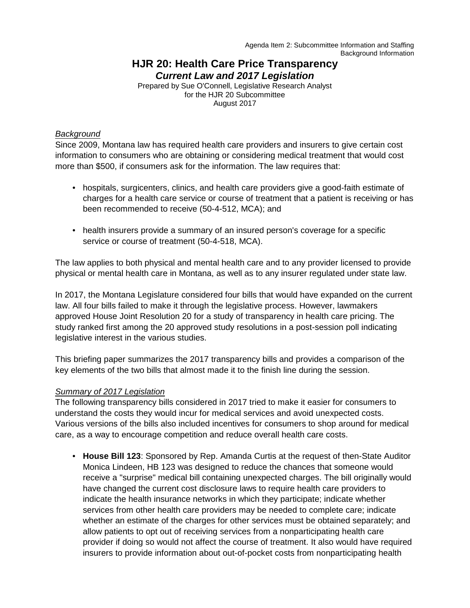Agenda Item 2: Subcommittee Information and Staffing Background Information

# **HJR 20: Health Care Price Transparency** *Current Law and 2017 Legislation*

Prepared by Sue O'Connell, Legislative Research Analyst for the HJR 20 Subcommittee August 2017

#### *Background*

Since 2009, Montana law has required health care providers and insurers to give certain cost information to consumers who are obtaining or considering medical treatment that would cost more than \$500, if consumers ask for the information. The law requires that:

- hospitals, surgicenters, clinics, and health care providers give a good-faith estimate of charges for a health care service or course of treatment that a patient is receiving or has been recommended to receive (50-4-512, MCA); and
- health insurers provide a summary of an insured person's coverage for a specific service or course of treatment (50-4-518, MCA).

The law applies to both physical and mental health care and to any provider licensed to provide physical or mental health care in Montana, as well as to any insurer regulated under state law.

In 2017, the Montana Legislature considered four bills that would have expanded on the current law. All four bills failed to make it through the legislative process. However, lawmakers approved House Joint Resolution 20 for a study of transparency in health care pricing. The study ranked first among the 20 approved study resolutions in a post-session poll indicating legislative interest in the various studies.

This briefing paper summarizes the 2017 transparency bills and provides a comparison of the key elements of the two bills that almost made it to the finish line during the session.

### *Summary of 2017 Legislation*

The following transparency bills considered in 2017 tried to make it easier for consumers to understand the costs they would incur for medical services and avoid unexpected costs. Various versions of the bills also included incentives for consumers to shop around for medical care, as a way to encourage competition and reduce overall health care costs.

• **House Bill 123**: Sponsored by Rep. Amanda Curtis at the request of then-State Auditor Monica Lindeen, HB 123 was designed to reduce the chances that someone would receive a "surprise" medical bill containing unexpected charges. The bill originally would have changed the current cost disclosure laws to require health care providers to indicate the health insurance networks in which they participate; indicate whether services from other health care providers may be needed to complete care; indicate whether an estimate of the charges for other services must be obtained separately; and allow patients to opt out of receiving services from a nonparticipating health care provider if doing so would not affect the course of treatment. It also would have required insurers to provide information about out-of-pocket costs from nonparticipating health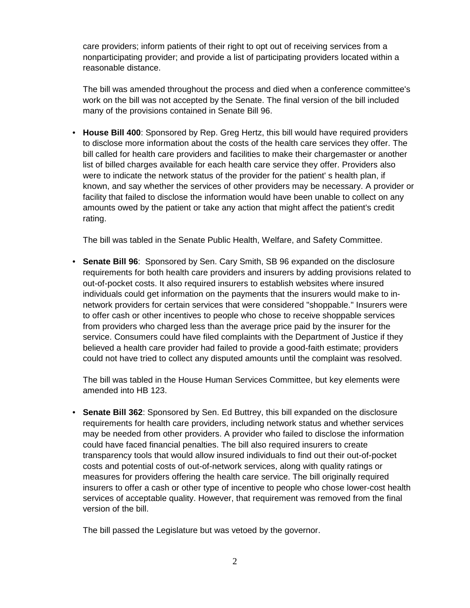care providers; inform patients of their right to opt out of receiving services from a nonparticipating provider; and provide a list of participating providers located within a reasonable distance.

The bill was amended throughout the process and died when a conference committee's work on the bill was not accepted by the Senate. The final version of the bill included many of the provisions contained in Senate Bill 96.

• **House Bill 400**: Sponsored by Rep. Greg Hertz, this bill would have required providers to disclose more information about the costs of the health care services they offer. The bill called for health care providers and facilities to make their chargemaster or another list of billed charges available for each health care service they offer. Providers also were to indicate the network status of the provider for the patient' s health plan, if known, and say whether the services of other providers may be necessary. A provider or facility that failed to disclose the information would have been unable to collect on any amounts owed by the patient or take any action that might affect the patient's credit rating.

The bill was tabled in the Senate Public Health, Welfare, and Safety Committee.

• **Senate Bill 96**: Sponsored by Sen. Cary Smith, SB 96 expanded on the disclosure requirements for both health care providers and insurers by adding provisions related to out-of-pocket costs. It also required insurers to establish websites where insured individuals could get information on the payments that the insurers would make to innetwork providers for certain services that were considered "shoppable." Insurers were to offer cash or other incentives to people who chose to receive shoppable services from providers who charged less than the average price paid by the insurer for the service. Consumers could have filed complaints with the Department of Justice if they believed a health care provider had failed to provide a good-faith estimate; providers could not have tried to collect any disputed amounts until the complaint was resolved.

The bill was tabled in the House Human Services Committee, but key elements were amended into HB 123.

• **Senate Bill 362**: Sponsored by Sen. Ed Buttrey, this bill expanded on the disclosure requirements for health care providers, including network status and whether services may be needed from other providers. A provider who failed to disclose the information could have faced financial penalties. The bill also required insurers to create transparency tools that would allow insured individuals to find out their out-of-pocket costs and potential costs of out-of-network services, along with quality ratings or measures for providers offering the health care service. The bill originally required insurers to offer a cash or other type of incentive to people who chose lower-cost health services of acceptable quality. However, that requirement was removed from the final version of the bill.

The bill passed the Legislature but was vetoed by the governor.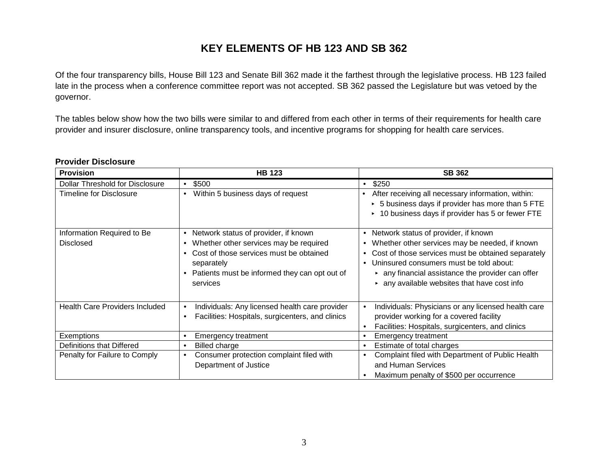# **KEY ELEMENTS OF HB 123 AND SB 362**

Of the four transparency bills, House Bill 123 and Senate Bill 362 made it the farthest through the legislative process. HB 123 failed late in the process when a conference committee report was not accepted. SB 362 passed the Legislature but was vetoed by the governor.

The tables below show how the two bills were similar to and differed from each other in terms of their requirements for health care provider and insurer disclosure, online transparency tools, and incentive programs for shopping for health care services.

### **Provider Disclosure**

| <b>Provision</b>                       | <b>HB 123</b>                                                          | <b>SB 362</b>                                                                                                                                                             |
|----------------------------------------|------------------------------------------------------------------------|---------------------------------------------------------------------------------------------------------------------------------------------------------------------------|
| <b>Dollar Threshold for Disclosure</b> | \$500                                                                  | \$250<br>$\bullet$                                                                                                                                                        |
| <b>Timeline for Disclosure</b>         | Within 5 business days of request                                      | After receiving all necessary information, within:<br>$\bullet$<br>> 5 business days if provider has more than 5 FTE<br>▶ 10 business days if provider has 5 or fewer FTE |
| Information Required to Be             | Network status of provider, if known<br>$\bullet$                      | Network status of provider, if known<br>$\bullet$                                                                                                                         |
| <b>Disclosed</b>                       | Whether other services may be required<br>$\bullet$                    | Whether other services may be needed, if known<br>$\bullet$                                                                                                               |
|                                        | Cost of those services must be obtained<br>$\bullet$                   | Cost of those services must be obtained separately<br>$\bullet$                                                                                                           |
|                                        | separately                                                             | Uninsured consumers must be told about:<br>$\bullet$                                                                                                                      |
|                                        | Patients must be informed they can opt out of<br>$\bullet$<br>services | $\triangleright$ any financial assistance the provider can offer<br>$\triangleright$ any available websites that have cost info                                           |
| <b>Health Care Providers Included</b>  | Individuals: Any licensed health care provider<br>$\bullet$            | Individuals: Physicians or any licensed health care<br>$\bullet$                                                                                                          |
|                                        | Facilities: Hospitals, surgicenters, and clinics<br>$\bullet$          | provider working for a covered facility                                                                                                                                   |
|                                        |                                                                        | Facilities: Hospitals, surgicenters, and clinics<br>$\bullet$                                                                                                             |
| Exemptions                             | <b>Emergency treatment</b><br>٠                                        | <b>Emergency treatment</b><br>$\bullet$                                                                                                                                   |
| Definitions that Differed              | Billed charge<br>٠                                                     | Estimate of total charges<br>$\bullet$                                                                                                                                    |
| Penalty for Failure to Comply          | Consumer protection complaint filed with<br>$\bullet$                  | Complaint filed with Department of Public Health<br>$\bullet$                                                                                                             |
|                                        | Department of Justice                                                  | and Human Services                                                                                                                                                        |
|                                        |                                                                        | Maximum penalty of \$500 per occurrence<br>$\bullet$                                                                                                                      |